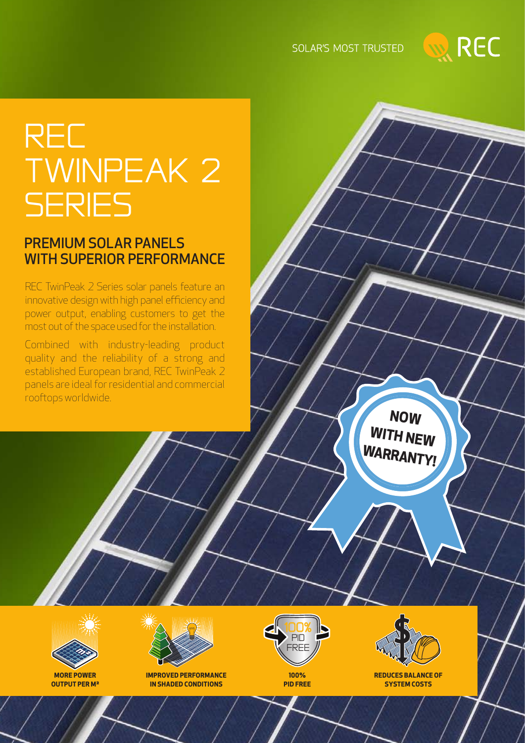### SOLAR'S MOST TRUSTED



# **REC** TwinPeak 2 **SERIES**

### PREMIUM SOLAR PANELS WITH SUPERIOR PERFORMANCE

REC TwinPeak 2 Series solar panels feature an innovative design with high panel efficiency and power output, enabling customers to get the most out of the space used for the installation.

Combined with industry-leading product quality and the reliability of a strong and established European brand, REC TwinPeak 2 panels are ideal for residential and commercial rooftops worldwide.

> **NOW WITH NEW WARRANTY!**



**OUTPUT PER M²**



**IMPROVED PERFORMANCE IN SHADED CONDITIONS**



**100% PID FREE**

 $\blacksquare$ Free  $\sqrt{\frac{1}{2}}$ **REDUCES BALANCE OF**

**SYSTEM COSTS**